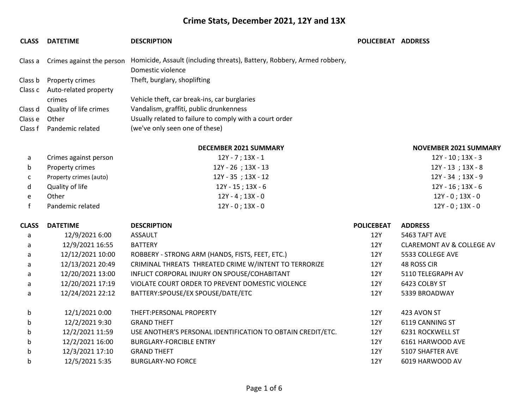| <b>CLASS</b> | <b>DATETIME</b>           | <b>DESCRIPTION</b>                                                      | POLICEBEAT ADDRESS |                                      |
|--------------|---------------------------|-------------------------------------------------------------------------|--------------------|--------------------------------------|
| Class a      | Crimes against the person | Homicide, Assault (including threats), Battery, Robbery, Armed robbery, |                    |                                      |
|              |                           | Domestic violence                                                       |                    |                                      |
| Class b      | Property crimes           | Theft, burglary, shoplifting                                            |                    |                                      |
| Class c      | Auto-related property     |                                                                         |                    |                                      |
|              | crimes                    | Vehicle theft, car break-ins, car burglaries                            |                    |                                      |
| Class d      | Quality of life crimes    | Vandalism, graffiti, public drunkenness                                 |                    |                                      |
| Class e      | Other                     | Usually related to failure to comply with a court order                 |                    |                                      |
| Class f      | Pandemic related          | (we've only seen one of these)                                          |                    |                                      |
|              |                           | <b>DECEMBER 2021 SUMMARY</b>                                            |                    | <b>NOVEMBER 2021 SUMMARY</b>         |
| a            | Crimes against person     | $12Y - 7$ ; $13X - 1$                                                   |                    | $12Y - 10$ ; $13X - 3$               |
| b            | Property crimes           | 12Y - 26 ; 13X - 13                                                     |                    | $12Y - 13$ ; $13X - 8$               |
| c            | Property crimes (auto)    | 12Y - 35 ; 13X - 12                                                     |                    | $12Y - 34$ ; $13X - 9$               |
| d            | Quality of life           | $12Y - 15$ ; $13X - 6$                                                  |                    | $12Y - 16$ ; $13X - 6$               |
| e            | Other                     | $12Y - 4$ ; $13X - 0$                                                   |                    | $12Y - 0$ ; $13X - 0$                |
| $\mathbf{f}$ | Pandemic related          | $12Y - 0$ ; $13X - 0$                                                   |                    | $12Y - 0$ ; $13X - 0$                |
| <b>CLASS</b> | <b>DATETIME</b>           | <b>DESCRIPTION</b>                                                      | <b>POLICEBEAT</b>  | <b>ADDRESS</b>                       |
| a            | 12/9/2021 6:00            | <b>ASSAULT</b>                                                          | 12Y                | 5463 TAFT AVE                        |
| a            | 12/9/2021 16:55           | <b>BATTERY</b>                                                          | 12Y                | <b>CLAREMONT AV &amp; COLLEGE AV</b> |
| a            | 12/12/2021 10:00          | ROBBERY - STRONG ARM (HANDS, FISTS, FEET, ETC.)                         | 12Y                | 5533 COLLEGE AVE                     |
| a            | 12/13/2021 20:49          | CRIMINAL THREATS THREATED CRIME W/INTENT TO TERRORIZE                   | 12Y                | 48 ROSS CIR                          |
| a            | 12/20/2021 13:00          | INFLICT CORPORAL INJURY ON SPOUSE/COHABITANT                            | 12Y                | 5110 TELEGRAPH AV                    |
| a            | 12/20/2021 17:19          | VIOLATE COURT ORDER TO PREVENT DOMESTIC VIOLENCE                        | 12Y                | 6423 COLBY ST                        |
| a            | 12/24/2021 22:12          | BATTERY:SPOUSE/EX SPOUSE/DATE/ETC                                       | 12Y                | 5339 BROADWAY                        |
| b            | 12/1/2021 0:00            | THEFT:PERSONAL PROPERTY                                                 | 12Y                | 423 AVON ST                          |
| b            | 12/2/2021 9:30            | <b>GRAND THEFT</b>                                                      | <b>12Y</b>         | 6119 CANNING ST                      |
| $\mathbf b$  | 12/2/2021 11:59           | USE ANOTHER'S PERSONAL IDENTIFICATION TO OBTAIN CREDIT/ETC.             | 12Y                | 6231 ROCKWELL ST                     |
| $\mathbf b$  | 12/2/2021 16:00           | <b>BURGLARY-FORCIBLE ENTRY</b>                                          | 12Y                | 6161 HARWOOD AVE                     |
| b            | 12/3/2021 17:10           | <b>GRAND THEFT</b>                                                      | 12Y                | 5107 SHAFTER AVE                     |
| b            | 12/5/2021 5:35            | <b>BURGLARY-NO FORCE</b>                                                | 12Y                | 6019 HARWOOD AV                      |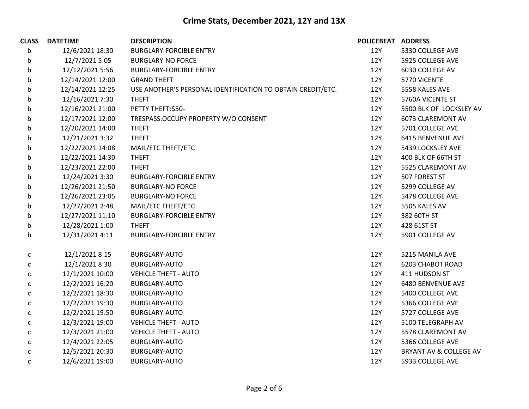| <b>CLASS</b> | <b>DATETIME</b>  | <b>DESCRIPTION</b>                                          | POLICEBEAT ADDRESS |                          |
|--------------|------------------|-------------------------------------------------------------|--------------------|--------------------------|
| b            | 12/6/2021 18:30  | <b>BURGLARY-FORCIBLE ENTRY</b>                              | 12Y                | 5330 COLLEGE AVE         |
| b            | 12/7/2021 5:05   | <b>BURGLARY-NO FORCE</b>                                    | 12Y                | 5925 COLLEGE AVE         |
| b            | 12/12/2021 5:56  | <b>BURGLARY-FORCIBLE ENTRY</b>                              | 12Y                | 6030 COLLEGE AV          |
| b            | 12/14/2021 12:00 | <b>GRAND THEFT</b>                                          | 12Y                | 5770 VICENTE             |
| b            | 12/14/2021 12:25 | USE ANOTHER'S PERSONAL IDENTIFICATION TO OBTAIN CREDIT/ETC. | 12Y                | 5558 KALES AVE           |
| b            | 12/16/2021 7:30  | <b>THEFT</b>                                                | 12Y                | 5760A VICENTE ST         |
| b            | 12/16/2021 21:00 | PETTY THEFT:\$50-                                           | 12Y                | 5500 BLK OF LOCKSLEY AV  |
| b            | 12/17/2021 12:00 | TRESPASS: OCCUPY PROPERTY W/O CONSENT                       | 12Y                | 6073 CLAREMONT AV        |
| b            | 12/20/2021 14:00 | <b>THEFT</b>                                                | 12Y                | 5701 COLLEGE AVE         |
| b            | 12/21/2021 3:32  | <b>THEFT</b>                                                | 12Y                | 6415 BENVENUE AVE        |
| b            | 12/22/2021 14:08 | MAIL/ETC THEFT/ETC                                          | 12Y                | 5439 LOCKSLEY AVE        |
| b            | 12/22/2021 14:30 | <b>THEFT</b>                                                | 12Y                | 400 BLK OF 66TH ST       |
| b            | 12/23/2021 22:00 | <b>THEFT</b>                                                | 12Y                | 5525 CLAREMONT AV        |
| b            | 12/24/2021 3:30  | <b>BURGLARY-FORCIBLE ENTRY</b>                              | 12Y                | 507 FOREST ST            |
| b            | 12/26/2021 21:50 | <b>BURGLARY-NO FORCE</b>                                    | 12Y                | 5299 COLLEGE AV          |
| b            | 12/26/2021 23:05 | <b>BURGLARY-NO FORCE</b>                                    | 12Y                | 5478 COLLEGE AVE         |
| b            | 12/27/2021 2:48  | MAIL/ETC THEFT/ETC                                          | 12Y                | 5505 KALES AV            |
| b            | 12/27/2021 11:10 | <b>BURGLARY-FORCIBLE ENTRY</b>                              | 12Y                | 382 60TH ST              |
| b            | 12/28/2021 1:00  | <b>THEFT</b>                                                | 12Y                | 428 61ST ST              |
| b            | 12/31/2021 4:11  | <b>BURGLARY-FORCIBLE ENTRY</b>                              | 12Y                | 5901 COLLEGE AV          |
| C            | 12/1/2021 8:15   | BURGLARY-AUTO                                               | 12Y                | 5215 MANILA AVE          |
| С            | 12/1/2021 8:30   | <b>BURGLARY-AUTO</b>                                        | 12Y                | <b>6203 CHABOT ROAD</b>  |
| c            | 12/1/2021 10:00  | <b>VEHICLE THEFT - AUTO</b>                                 | 12Y                | 411 HUDSON ST            |
| С            | 12/2/2021 16:20  | BURGLARY-AUTO                                               | 12Y                | <b>6480 BENVENUE AVE</b> |
| C            | 12/2/2021 18:30  | BURGLARY-AUTO                                               | 12Y                | 5400 COLLEGE AVE         |
| $\mathsf{C}$ | 12/2/2021 19:30  | BURGLARY-AUTO                                               | 12Y                | 5366 COLLEGE AVE         |
| С            | 12/2/2021 19:50  | <b>BURGLARY-AUTO</b>                                        | 12Y                | 5727 COLLEGE AVE         |
| C            | 12/3/2021 19:00  | <b>VEHICLE THEFT - AUTO</b>                                 | 12Y                | 5100 TELEGRAPH AV        |
| c            | 12/3/2021 21:00  | <b>VEHICLE THEFT - AUTO</b>                                 | 12Y                | 5578 CLAREMONT AV        |
| C            | 12/4/2021 22:05  | BURGLARY-AUTO                                               | 12Y                | 5366 COLLEGE AVE         |
| $\mathsf{C}$ | 12/5/2021 20:30  | BURGLARY-AUTO                                               | 12Y                | BRYANT AV & COLLEGE AV   |
| C            | 12/6/2021 19:00  | <b>BURGLARY-AUTO</b>                                        | 12Y                | 5933 COLLEGE AVE         |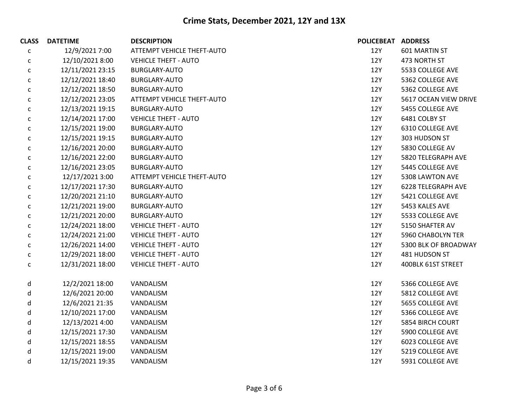| <b>CLASS</b> | <b>DATETIME</b>  | <b>DESCRIPTION</b>          | <b>POLICEBEAT</b> | <b>ADDRESS</b>           |
|--------------|------------------|-----------------------------|-------------------|--------------------------|
| C            | 12/9/2021 7:00   | ATTEMPT VEHICLE THEFT-AUTO  | 12Y               | 601 MARTIN ST            |
| с            | 12/10/2021 8:00  | <b>VEHICLE THEFT - AUTO</b> | <b>12Y</b>        | 473 NORTH ST             |
| С            | 12/11/2021 23:15 | <b>BURGLARY-AUTO</b>        | 12Y               | 5533 COLLEGE AVE         |
| с            | 12/12/2021 18:40 | <b>BURGLARY-AUTO</b>        | 12Y               | 5362 COLLEGE AVE         |
| С            | 12/12/2021 18:50 | <b>BURGLARY-AUTO</b>        | 12Y               | 5362 COLLEGE AVE         |
| С            | 12/12/2021 23:05 | ATTEMPT VEHICLE THEFT-AUTO  | <b>12Y</b>        | 5617 OCEAN VIEW DRIVE    |
| С            | 12/13/2021 19:15 | <b>BURGLARY-AUTO</b>        | 12Y               | 5455 COLLEGE AVE         |
| С            | 12/14/2021 17:00 | <b>VEHICLE THEFT - AUTO</b> | 12Y               | 6481 COLBY ST            |
| С            | 12/15/2021 19:00 | BURGLARY-AUTO               | 12Y               | 6310 COLLEGE AVE         |
| С            | 12/15/2021 19:15 | <b>BURGLARY-AUTO</b>        | <b>12Y</b>        | 303 HUDSON ST            |
| C            | 12/16/2021 20:00 | <b>BURGLARY-AUTO</b>        | 12Y               | 5830 COLLEGE AV          |
| с            | 12/16/2021 22:00 | <b>BURGLARY-AUTO</b>        | 12Y               | 5820 TELEGRAPH AVE       |
| С            | 12/16/2021 23:05 | <b>BURGLARY-AUTO</b>        | 12Y               | 5445 COLLEGE AVE         |
| с            | 12/17/2021 3:00  | ATTEMPT VEHICLE THEFT-AUTO  | 12Y               | 5308 LAWTON AVE          |
| С            | 12/17/2021 17:30 | BURGLARY-AUTO               | 12Y               | 6228 TELEGRAPH AVE       |
| С            | 12/20/2021 21:10 | <b>BURGLARY-AUTO</b>        | 12Y               | 5421 COLLEGE AVE         |
| с            | 12/21/2021 19:00 | <b>BURGLARY-AUTO</b>        | 12Y               | 5453 KALES AVE           |
| С            | 12/21/2021 20:00 | <b>BURGLARY-AUTO</b>        | 12Y               | 5533 COLLEGE AVE         |
| $\mathsf{C}$ | 12/24/2021 18:00 | <b>VEHICLE THEFT - AUTO</b> | 12Y               | 5150 SHAFTER AV          |
| c            | 12/24/2021 21:00 | <b>VEHICLE THEFT - AUTO</b> | 12Y               | <b>5960 CHABOLYN TER</b> |
| C            | 12/26/2021 14:00 | <b>VEHICLE THEFT - AUTO</b> | 12Y               | 5300 BLK OF BROADWAY     |
| с            | 12/29/2021 18:00 | <b>VEHICLE THEFT - AUTO</b> | 12Y               | 481 HUDSON ST            |
| С            | 12/31/2021 18:00 | <b>VEHICLE THEFT - AUTO</b> | 12Y               | 400BLK 61ST STREET       |
| d            | 12/2/2021 18:00  | VANDALISM                   | 12Y               | 5366 COLLEGE AVE         |
| d            | 12/6/2021 20:00  | VANDALISM                   | 12Y               | 5812 COLLEGE AVE         |
| d            | 12/6/2021 21:35  | VANDALISM                   | 12Y               | 5655 COLLEGE AVE         |
| d            | 12/10/2021 17:00 | VANDALISM                   | 12Y               | 5366 COLLEGE AVE         |
| d            | 12/13/2021 4:00  | VANDALISM                   | 12Y               | <b>5854 BIRCH COURT</b>  |
| d            | 12/15/2021 17:30 | VANDALISM                   | 12Y               | 5900 COLLEGE AVE         |
| d            | 12/15/2021 18:55 | VANDALISM                   | 12Y               | 6023 COLLEGE AVE         |
| d            | 12/15/2021 19:00 | VANDALISM                   | 12Y               | 5219 COLLEGE AVE         |
| d            | 12/15/2021 19:35 | VANDALISM                   | 12Y               | 5931 COLLEGE AVE         |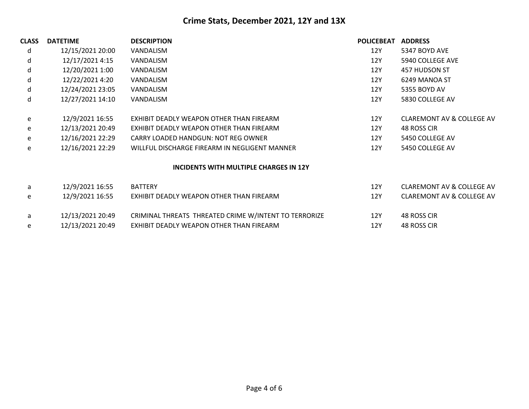| <b>CLASS</b> | <b>DATETIME</b>  | <b>DESCRIPTION</b>                                    | <b>POLICEBEAT</b> | <b>ADDRESS</b>                       |
|--------------|------------------|-------------------------------------------------------|-------------------|--------------------------------------|
| d            | 12/15/2021 20:00 | VANDALISM                                             | 12Y               | 5347 BOYD AVE                        |
| d            | 12/17/2021 4:15  | VANDALISM                                             | 12Y               | 5940 COLLEGE AVE                     |
| d            | 12/20/2021 1:00  | VANDALISM                                             | 12Y               | 457 HUDSON ST                        |
| d            | 12/22/2021 4:20  | VANDALISM                                             | 12Y               | 6249 MANOA ST                        |
| d            | 12/24/2021 23:05 | VANDALISM                                             | 12Y               | 5355 BOYD AV                         |
| d            | 12/27/2021 14:10 | VANDALISM                                             | 12Y               | 5830 COLLEGE AV                      |
| e            | 12/9/2021 16:55  | EXHIBIT DEADLY WEAPON OTHER THAN FIREARM              | 12Y               | <b>CLAREMONT AV &amp; COLLEGE AV</b> |
| e            | 12/13/2021 20:49 | EXHIBIT DEADLY WEAPON OTHER THAN FIREARM              | 12Y               | 48 ROSS CIR                          |
| e            | 12/16/2021 22:29 | CARRY LOADED HANDGUN: NOT REG OWNER                   | 12Y               | 5450 COLLEGE AV                      |
| e            | 12/16/2021 22:29 | WILLFUL DISCHARGE FIREARM IN NEGLIGENT MANNER         | 12Y               | 5450 COLLEGE AV                      |
|              |                  | INCIDENTS WITH MULTIPLE CHARGES IN 12Y                |                   |                                      |
| a            | 12/9/2021 16:55  | <b>BATTERY</b>                                        | 12Y               | <b>CLAREMONT AV &amp; COLLEGE AV</b> |
| e            | 12/9/2021 16:55  | EXHIBIT DEADLY WEAPON OTHER THAN FIREARM              | 12Y               | <b>CLAREMONT AV &amp; COLLEGE AV</b> |
| a            | 12/13/2021 20:49 | CRIMINAL THREATS THREATED CRIME W/INTENT TO TERRORIZE | 12Y               | 48 ROSS CIR                          |
| e            | 12/13/2021 20:49 | EXHIBIT DEADLY WEAPON OTHER THAN FIREARM              | 12Y               | 48 ROSS CIR                          |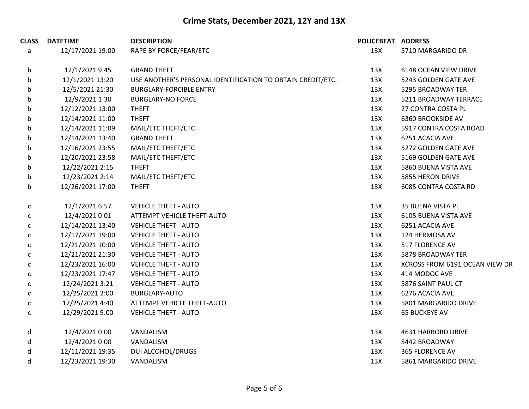| <b>CLASS</b> | <b>DATETIME</b>  | <b>DESCRIPTION</b>                                          | POLICEBEAT ADDRESS |                                |
|--------------|------------------|-------------------------------------------------------------|--------------------|--------------------------------|
| a            | 12/17/2021 19:00 | RAPE BY FORCE/FEAR/ETC                                      | 13X                | 5710 MARGARIDO DR              |
| b            | 12/1/2021 9:45   | <b>GRAND THEFT</b>                                          | 13X                | 6148 OCEAN VIEW DRIVE          |
| b            | 12/1/2021 13:20  | USE ANOTHER'S PERSONAL IDENTIFICATION TO OBTAIN CREDIT/ETC. | 13X                | 5243 GOLDEN GATE AVE           |
| b            | 12/5/2021 21:30  | <b>BURGLARY-FORCIBLE ENTRY</b>                              | 13X                | 5295 BROADWAY TER              |
| b            | 12/9/2021 1:30   | <b>BURGLARY-NO FORCE</b>                                    | 13X                | 5211 BROADWAY TERRACE          |
| b            | 12/12/2021 13:00 | <b>THEFT</b>                                                | 13X                | 27 CONTRA COSTA PL             |
| b            | 12/14/2021 11:00 | <b>THEFT</b>                                                | 13X                | <b>6360 BROOKSIDE AV</b>       |
| b            | 12/14/2021 11:09 | MAIL/ETC THEFT/ETC                                          | 13X                | 5917 CONTRA COSTA ROAD         |
| b            | 12/14/2021 13:40 | <b>GRAND THEFT</b>                                          | 13X                | 6251 ACACIA AVE                |
| b            | 12/16/2021 23:55 | MAIL/ETC THEFT/ETC                                          | 13X                | 5272 GOLDEN GATE AVE           |
| b            | 12/20/2021 23:58 | MAIL/ETC THEFT/ETC                                          | 13X                | 5169 GOLDEN GATE AVE           |
| b            | 12/22/2021 2:15  | <b>THEFT</b>                                                | 13X                | 5860 BUENA VISTA AVE           |
| b            | 12/23/2021 2:14  | MAIL/ETC THEFT/ETC                                          | 13X                | 5855 HERON DRIVE               |
| $\mathsf b$  | 12/26/2021 17:00 | <b>THEFT</b>                                                | 13X                | <b>6085 CONTRA COSTA RD</b>    |
| c            | 12/1/2021 6:57   | <b>VEHICLE THEFT - AUTO</b>                                 | 13X                | 35 BUENA VISTA PL              |
| $\mathsf{C}$ | 12/4/2021 0:01   | ATTEMPT VEHICLE THEFT-AUTO                                  | 13X                | 6105 BUENA VISTA AVE           |
| $\mathsf{C}$ | 12/14/2021 13:40 | <b>VEHICLE THEFT - AUTO</b>                                 | 13X                | 6251 ACACIA AVE                |
| c            | 12/17/2021 19:00 | <b>VEHICLE THEFT - AUTO</b>                                 | 13X                | 124 HERMOSA AV                 |
| c            | 12/21/2021 10:00 | <b>VEHICLE THEFT - AUTO</b>                                 | 13X                | 517 FLORENCE AV                |
| c            | 12/21/2021 21:30 | <b>VEHICLE THEFT - AUTO</b>                                 | 13X                | 5878 BROADWAY TER              |
| $\mathsf{C}$ | 12/23/2021 16:00 | <b>VEHICLE THEFT - AUTO</b>                                 | 13X                | XCROSS FROM 6191 OCEAN VIEW DR |
| c            | 12/23/2021 17:47 | <b>VEHICLE THEFT - AUTO</b>                                 | 13X                | 414 MODOC AVE                  |
| C            | 12/24/2021 3:21  | <b>VEHICLE THEFT - AUTO</b>                                 | 13X                | 5876 SAINT PAUL CT             |
| c            | 12/25/2021 2:00  | BURGLARY-AUTO                                               | 13X                | 6276 ACACIA AVE                |
| c            | 12/25/2021 4:40  | ATTEMPT VEHICLE THEFT-AUTO                                  | 13X                | 5801 MARGARIDO DRIVE           |
| $\mathsf{C}$ | 12/29/2021 9:00  | <b>VEHICLE THEFT - AUTO</b>                                 | 13X                | <b>65 BUCKEYE AV</b>           |
| d            | 12/4/2021 0:00   | VANDALISM                                                   | 13X                | 4631 HARBORD DRIVE             |
| $\sf d$      | 12/4/2021 0:00   | VANDALISM                                                   | 13X                | 5442 BROADWAY                  |
| d            | 12/11/2021 19:35 | <b>DUI ALCOHOL/DRUGS</b>                                    | 13X                | 365 FLORENCE AV                |
| d            | 12/23/2021 19:30 | VANDALISM                                                   | 13X                | 5861 MARGARIDO DRIVE           |